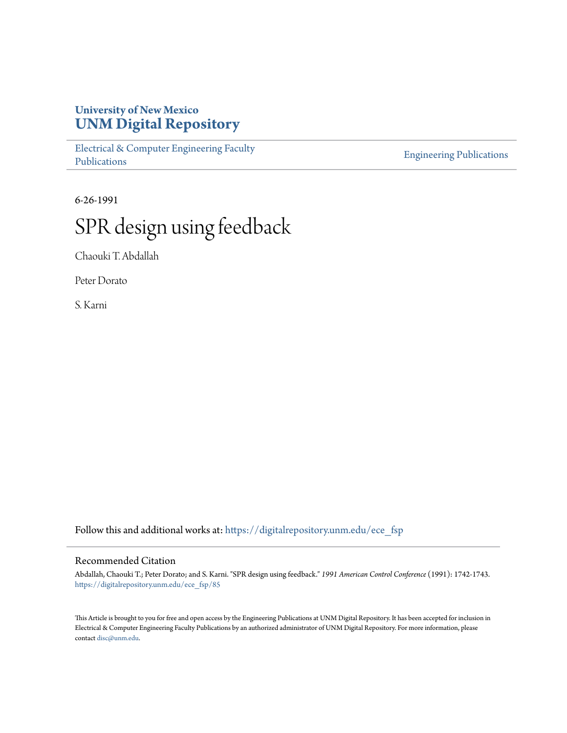### **University of New Mexico [UNM Digital Repository](https://digitalrepository.unm.edu?utm_source=digitalrepository.unm.edu%2Fece_fsp%2F85&utm_medium=PDF&utm_campaign=PDFCoverPages)**

[Electrical & Computer Engineering Faculty](https://digitalrepository.unm.edu/ece_fsp?utm_source=digitalrepository.unm.edu%2Fece_fsp%2F85&utm_medium=PDF&utm_campaign=PDFCoverPages) [Publications](https://digitalrepository.unm.edu/ece_fsp?utm_source=digitalrepository.unm.edu%2Fece_fsp%2F85&utm_medium=PDF&utm_campaign=PDFCoverPages)

[Engineering Publications](https://digitalrepository.unm.edu/eng_fsp?utm_source=digitalrepository.unm.edu%2Fece_fsp%2F85&utm_medium=PDF&utm_campaign=PDFCoverPages)

6-26-1991

# SPR design using feedback

Chaouki T. Abdallah

Peter Dorato

S. Karni

Follow this and additional works at: [https://digitalrepository.unm.edu/ece\\_fsp](https://digitalrepository.unm.edu/ece_fsp?utm_source=digitalrepository.unm.edu%2Fece_fsp%2F85&utm_medium=PDF&utm_campaign=PDFCoverPages)

### Recommended Citation

Abdallah, Chaouki T.; Peter Dorato; and S. Karni. "SPR design using feedback." *1991 American Control Conference* (1991): 1742-1743. [https://digitalrepository.unm.edu/ece\\_fsp/85](https://digitalrepository.unm.edu/ece_fsp/85?utm_source=digitalrepository.unm.edu%2Fece_fsp%2F85&utm_medium=PDF&utm_campaign=PDFCoverPages)

This Article is brought to you for free and open access by the Engineering Publications at UNM Digital Repository. It has been accepted for inclusion in Electrical & Computer Engineering Faculty Publications by an authorized administrator of UNM Digital Repository. For more information, please contact [disc@unm.edu.](mailto:disc@unm.edu)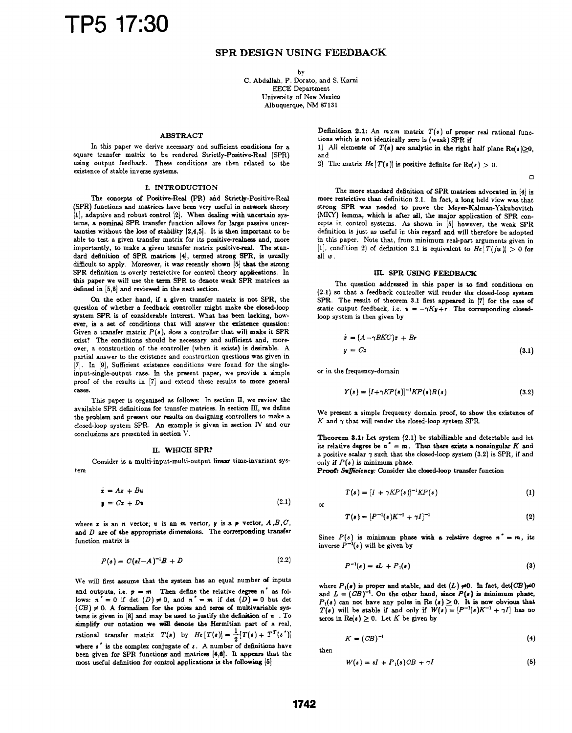## TP5 17:30

#### SPR DESIGN USING FEEDBACK

by C. Abdallah, P. Dorato, and S. Karni EECE Department University of New Mexico

Albuquerque, NM <sup>87131</sup>

#### ABSTRACT

In this paper we derive necessary and sufficient oonditions for a square transfer matrix to be rendered Strictly-Positive-Real (SPR) using output feedback. These conditions are then related to the existence of stable inverse systems.

#### I. INTRODUCTION

The concepts of Positive-Real (PR) aid Strictly-Positive-Real (SPR) functions and matrices have been very useful in network theory [11, adaptive and robust control [2]. When dealing with uncertain systems, a nominal SPR transfer function allows for large passive uncertainties without the loss of stability [2,4,5]. It is then important to be able to test a given transfer matrix for its positive-realness and, more importantly, to make a given transfer matrix positive-real. The standard definition of SPR matrices [4), termed strong SPR, is usually difficult to apply. Moreover, it was; recently shown [5] that the strong SPR definition is overly restrictive for control theory applications. In this paper we will use the trm SPR to denote weak SPR matrices as defined in [5,6) and reviewed in the next section.

On the other hand, if a given transfer matrix is not SPR, the question of whether a feedback controller might make the closed-loop system SPR is of considerable interest. What has been lacking, however, is a set of conditions that will answer the existence question: Given a transfer matrix  $P(s)$ , does a controller that will make it SPR exist? The conditions should be necessary and sufficient and, moreover, <sup>a</sup> construction of the controller (when it exists) is desirable. A partial answer to the existence and construction questions was given in [7]. In [9], Sufficient existence conditions were found for the singleinput-single-output case. In the present paper, we provide a simple proof of the results in [7] and extend these results to more general cases.

This paper is organized as follows: In section II, we review the available SPR definitions for transfer matrices. In section III, we define the problem and present our results on designing controllers to make a closed-loop system SPR. An example is given in section IV and our conclusions are presented in section V.

#### L. WHICH SPRt?

Consider is a multi-input-multi-output linear time-invariant system

$$
\begin{aligned}\n\dot{x} &= A\mathbf{x} + B\mathbf{u} \\
\mathbf{y} &= C\mathbf{x} + D\mathbf{u}\n\end{aligned}
$$
\n(2.1) or

where x is an n vector, u is an m vector, y is a  $\neq$  vector,  $A, B, C$ , and  $D$  are of the appropriate dimensions. The corresponding transfer function matrix is

$$
P(s) = C(sI - A)^{-1}B + D \qquad (2.2)
$$

We will first assume that the system has an equal number of inputs and outputs, i.e.  $p = m$  Then define the relative degree n<sup>'</sup> as follows:  $n^* = 0$  if det  $(D) \neq 0$ , and  $n^* = m$  if det  $(D) = 0$  but det  $(CB) \neq 0$ . A formalism for the poles and zeros of multivariable systems is given in  $[8]$  and may be used to justify the definition of  $n$ . To simplify our notation we will denote the Hermitian part of a real, rational transfer matrix  $T(s)$  by  $He[T(s)] = \frac{1}{2}[T(s) + T^{T}(s')]$ where  $s^*$  is the complex conjugate of  $s$ . A number of definitions have been given for SPR functions and matrices [4,6]. It appears that the most useful definition for control applications is the following [5)

Definition 2.1: An  $m \times m$  matrix  $T(s)$  of proper real rational functions which is not identically zero is (weak) SPR if

1) All elements of  $T(s)$  are analytic in the right half plane Re(s) $\geq 0$ , and

2) The matrix  $He[T(s)]$  is positive definite for  $Re(s) > 0$ .

 $\mathbf{a}$ 

The more standard definition of SPR matrices advocated in [41 is more restrictive than definition 2.1. In fact, a long held view was that strong SPR was needed to prove the Meyer-Kalman-Yakubovitch (MKY) lemma, which is after alI, the major application of SPR concepts in control systems. As shown in [5] however, the weak SPR definition is just as useful in this regard and will therefore be adopted in this paper. Note that, from minimum real-part arguments given in [1], condition 2) of definition 2.1 is equivalent to  $He[T(jw)] > 0$  for all w.

#### IIL SPR USING FEREDBACK

The question addressed in this paper is to find conditions on (2.1) so that a feedback controller will render the closed-loop system SPR. The result of theorem 3.1 first appeared in [7] for the case of static output feedback, i.e.  $u = -\gamma Ky + r$ . The corresponding closedloop system is then given by

$$
\begin{aligned} \dot{\mathbf{z}} &= (A - \gamma B K C) \mathbf{z} + B \mathbf{r} \\ \mathbf{y} &= C \mathbf{z} \end{aligned} \tag{3.1}
$$

or in the frequency-domain

$$
Y(s) = [I + \gamma KP(s)]^{-1}KP(s)R(s)
$$
\n(3.2)

We present <sup>a</sup> simple frequency domain proof, to show the existence of  $K$  and  $\gamma$  that will render the closed-loop system SPR.

Theorem 3.1: Let system  $(2.1)$  be stabilizable and detectable and let its relative degree be  $n^* = m$ . Then there exists a nonsingular K and a positive scalar  $\gamma$  such that the closed-loop system (3.2) is SPR, if and only if  $P(s)$  is minimum phase.

Proof: Sufficiency: Consider the closed-loop transfer function

$$
T(s) = [I + \gamma KP(s)]^{-1}KP(s)
$$
 (1)

$$
T(s) = [P^{-1}(s)K^{-1} + \gamma I]^{-1}
$$
\n(2)

Since  $P(s)$  is minimum phase with a relative degree  $n^* = m$ , its inverse  $P^{-1}(s)$  will be given by

$$
P^{-1}(\varepsilon) = \varepsilon L + P_1(\varepsilon) \tag{3}
$$

where  $P_1(s)$  is proper and stable, and det  $(L) \neq 0$ . In fact, det $(CB) \neq 0$ and  $L = (CB)^{-1}$ . On the other hand, since  $P(s)$  is minimum phase,  $P_1(s)$  can not have any poles in Re  $(s) \ge 0$ . It is now obvious that  $T(s)$  will be stable if and only if  $W(s) = [P^{-1}(s)K^{-1} + \gamma I]$  has no zeros in  $\text{Re}(s) \geq 0$ . Let K be given by

$$
K = (CB)^{-1} \tag{4}
$$

then.

$$
W(s) = sI + P_1(s)CB + \gamma I \tag{5}
$$